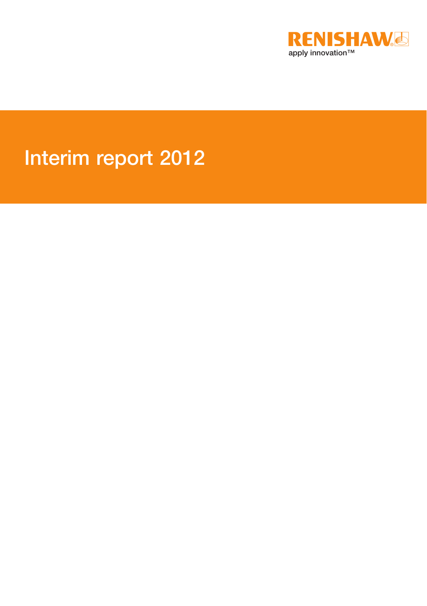

# Interim report 2012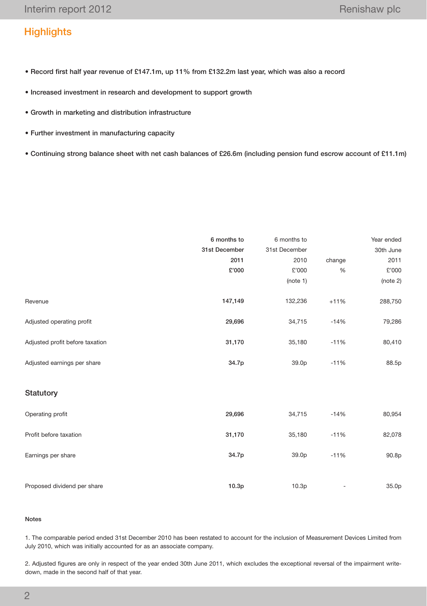# **Highlights**

- Record first half year revenue of £147.1m, up 11% from £132.2m last year, which was also a record
- Increased investment in research and development to support growth
- Growth in marketing and distribution infrastructure
- Further investment in manufacturing capacity
- Continuing strong balance sheet with net cash balances of £26.6m (including pension fund escrow account of £11.1m)

|                                 | 6 months to   | 6 months to       |        | Year ended |
|---------------------------------|---------------|-------------------|--------|------------|
|                                 | 31st December | 31st December     |        | 30th June  |
|                                 | 2011          | 2010              | change | 2011       |
|                                 | £'000         | £'000             | $\%$   | £'000      |
|                                 |               | (note 1)          |        | (note 2)   |
| Revenue                         | 147,149       | 132,236           | $+11%$ | 288,750    |
| Adjusted operating profit       | 29,696        | 34,715            | $-14%$ | 79,286     |
| Adjusted profit before taxation | 31,170        | 35,180            | $-11%$ | 80,410     |
| Adjusted earnings per share     | 34.7p         | 39.0p             | $-11%$ | 88.5p      |
| Statutory                       |               |                   |        |            |
| Operating profit                | 29,696        | 34,715            | $-14%$ | 80,954     |
| Profit before taxation          | 31,170        | 35,180            | $-11%$ | 82,078     |
| Earnings per share              | 34.7p         | 39.0p             | $-11%$ | 90.8p      |
| Proposed dividend per share     | 10.3p         | 10.3 <sub>p</sub> | -      | 35.0p      |

## Notes

1. The comparable period ended 31st December 2010 has been restated to account for the inclusion of Measurement Devices Limited from July 2010, which was initially accounted for as an associate company.

2. Adjusted figures are only in respect of the year ended 30th June 2011, which excludes the exceptional reversal of the impairment writedown, made in the second half of that year.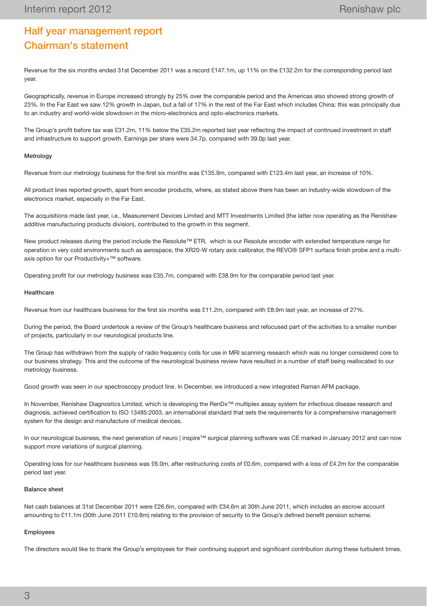# Half year management report Chairman's statement

Revenue for the six months ended 31st December 2011 was a record £147.1m, up 11% on the £132.2m for the corresponding period last year.

Geographically, revenue in Europe increased strongly by 25% over the comparable period and the Americas also showed strong growth of 23%. In the Far East we saw 12% growth in Japan, but a fall of 17% in the rest of the Far East which includes China; this was principally due to an industry and world-wide slowdown in the micro-electronics and opto-electronics markets.

The Group's profit before tax was £31.2m, 11% below the £35.2m reported last year reflecting the impact of continued investment in staff and infrastructure to support growth. Earnings per share were 34.7p, compared with 39.0p last year.

## Metrology

Revenue from our metrology business for the first six months was £135.9m, compared with £123.4m last year, an increase of 10%.

All product lines reported growth, apart from encoder products, where, as stated above there has been an industry-wide slowdown of the electronics market, especially in the Far East.

The acquisitions made last year, i.e., Measurement Devices Limited and MTT Investments Limited (the latter now operating as the Renishaw additive manufacturing products division), contributed to the growth in this segment.

New product releases during the period include the Resolute™ ETR, which is our Resolute encoder with extended temperature range for operation in very cold environments such as aerospace, the XR20-W rotary axis calibrator, the REVO® SFP1 surface finish probe and a multiaxis option for our Productivity+™ software.

Operating profit for our metrology business was £35.7m, compared with £38.9m for the comparable period last year.

## **Healthcare**

Revenue from our healthcare business for the first six months was £11.2m, compared with £8.9m last year, an increase of 27%.

During the period, the Board undertook a review of the Group's healthcare business and refocused part of the activities to a smaller number of projects, particularly in our neurological products line.

The Group has withdrawn from the supply of radio frequency coils for use in MRI scanning research which was no longer considered core to our business strategy. This and the outcome of the neurological business review have resulted in a number of staff being reallocated to our metrology business.

Good growth was seen in our spectroscopy product line. In December, we introduced a new integrated Raman AFM package.

In November, Renishaw Diagnostics Limited, which is developing the RenDx™ multiplex assay system for infectious disease research and diagnosis, achieved certification to ISO 13485:2003, an international standard that sets the requirements for a comprehensive management system for the design and manufacture of medical devices.

In our neurological business, the next generation of neuro | inspire™ surgical planning software was CE marked in January 2012 and can now support more variations of surgical planning.

Operating loss for our healthcare business was £6.0m, after restructuring costs of £0.6m, compared with a loss of £4.2m for the comparable period last year.

#### Balance sheet

Net cash balances at 31st December 2011 were £26.6m, compared with £34.6m at 30th June 2011, which includes an escrow account amounting to £11.1m (30th June 2011 £10.8m) relating to the provision of security to the Group's defined benefit pension scheme.

## Employees

The directors would like to thank the Group's employees for their continuing support and significant contribution during these turbulent times.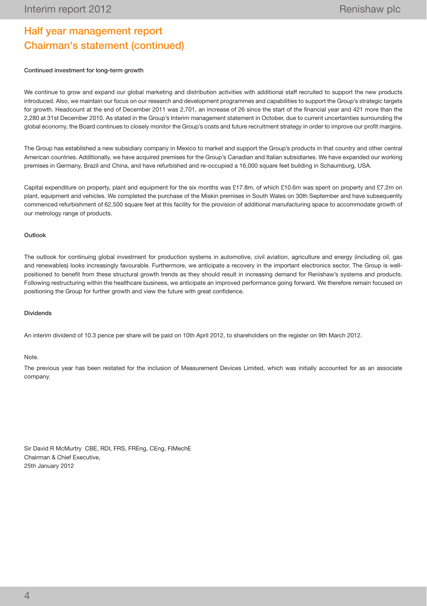# Half year management report Chairman's statement (continued)

## Continued investment for long-term growth

We continue to grow and expand our global marketing and distribution activities with additional staff recruited to support the new products introduced. Also, we maintain our focus on our research and development programmes and capabilities to support the Group's strategic targets for growth. Headcount at the end of December 2011 was 2,701, an increase of 26 since the start of the financial year and 421 more than the 2,280 at 31st December 2010. As stated in the Group's Interim management statement in October, due to current uncertainties surrounding the global economy, the Board continues to closely monitor the Group's costs and future recruitment strategy in order to improve our profit margins.

The Group has established a new subsidiary company in Mexico to market and support the Group's products in that country and other central American countries. Additionally, we have acquired premises for the Group's Canadian and Italian subsidiaries. We have expanded our working premises in Germany, Brazil and China, and have refurbished and re-occupied a 16,000 square feet building in Schaumburg, USA.

Capital expenditure on property, plant and equipment for the six months was £17.8m, of which £10.6m was spent on property and £7.2m on plant, equipment and vehicles. We completed the purchase of the Miskin premises in South Wales on 30th September and have subsequently commenced refurbishment of 62,500 square feet at this facility for the provision of additional manufacturing space to accommodate growth of our metrology range of products.

## Outlook

The outlook for continuing global investment for production systems in automotive, civil aviation, agriculture and energy (including oil, gas and renewables) looks increasingly favourable. Furthermore, we anticipate a recovery in the important electronics sector. The Group is wellpositioned to benefit from these structural growth trends as they should result in increasing demand for Renishaw's systems and products. Following restructuring within the healthcare business, we anticipate an improved performance going forward. We therefore remain focused on positioning the Group for further growth and view the future with great confidence.

## Dividends

An interim dividend of 10.3 pence per share will be paid on 10th April 2012, to shareholders on the register on 9th March 2012.

## Note.

The previous year has been restated for the inclusion of Measurement Devices Limited, which was initially accounted for as an associate company.

Sir David R McMurtry CBE, RDI, FRS, FREng, CEng, FIMechE Chairman & Chief Executive, 25th January 2012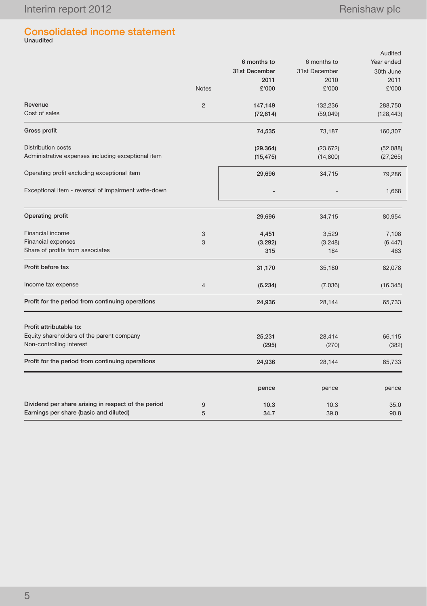# Consolidated income statement Unaudited

|                                                      |                |               |               | Audited    |  |
|------------------------------------------------------|----------------|---------------|---------------|------------|--|
|                                                      |                | 6 months to   | 6 months to   | Year ended |  |
|                                                      |                | 31st December | 31st December | 30th June  |  |
|                                                      |                | 2011          | 2010          | 2011       |  |
|                                                      | <b>Notes</b>   | £'000         | £'000         | £'000      |  |
| Revenue                                              | $\overline{2}$ | 147,149       | 132,236       | 288,750    |  |
| Cost of sales                                        |                | (72, 614)     | (59,049)      | (128, 443) |  |
| Gross profit                                         |                | 74,535        | 73,187        | 160,307    |  |
| <b>Distribution costs</b>                            |                | (29, 364)     | (23, 672)     | (52,088)   |  |
| Administrative expenses including exceptional item   |                | (15, 475)     | (14,800)      | (27, 265)  |  |
| Operating profit excluding exceptional item          |                | 29,696        | 34,715        | 79,286     |  |
| Exceptional item - reversal of impairment write-down |                |               |               | 1,668      |  |
| Operating profit                                     |                | 29,696        | 34,715        | 80,954     |  |
| Financial income                                     | 3              | 4,451         | 3,529         | 7,108      |  |
| Financial expenses                                   | 3              | (3, 292)      | (3, 248)      | (6, 447)   |  |
| Share of profits from associates                     |                | 315           | 184           | 463        |  |
| Profit before tax                                    |                | 31,170        | 35,180        | 82,078     |  |
| Income tax expense                                   | $\overline{4}$ | (6, 234)      | (7,036)       | (16, 345)  |  |
| Profit for the period from continuing operations     |                | 24,936        | 28,144        | 65,733     |  |
| Profit attributable to:                              |                |               |               |            |  |
| Equity shareholders of the parent company            |                | 25,231        | 28,414        | 66,115     |  |
| Non-controlling interest                             |                | (295)         | (270)         | (382)      |  |
| Profit for the period from continuing operations     |                | 24,936        | 28,144        | 65,733     |  |
|                                                      |                | pence         | pence         | pence      |  |
| Dividend per share arising in respect of the period  | 9              | 10.3          | 10.3          | 35.0       |  |
| Earnings per share (basic and diluted)               | 5              | 34.7          | 39.0          | 90.8       |  |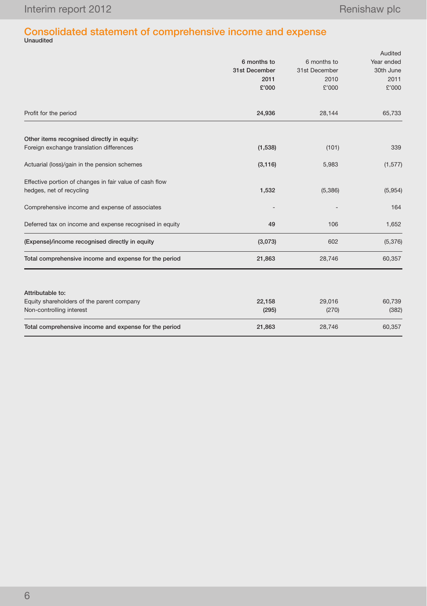# Consolidated statement of comprehensive income and expense Unaudited

|                                                         |               |               | Audited    |
|---------------------------------------------------------|---------------|---------------|------------|
|                                                         | 6 months to   | 6 months to   | Year ended |
|                                                         | 31st December | 31st December | 30th June  |
|                                                         | 2011          | 2010          | 2011       |
|                                                         | £'000         | £'000         | £'000      |
| Profit for the period                                   | 24,936        | 28,144        | 65,733     |
| Other items recognised directly in equity:              |               |               |            |
| Foreign exchange translation differences                | (1,538)       | (101)         | 339        |
| Actuarial (loss)/gain in the pension schemes            | (3, 116)      | 5,983         | (1, 577)   |
| Effective portion of changes in fair value of cash flow |               |               |            |
| hedges, net of recycling                                | 1,532         | (5,386)       | (5,954)    |
| Comprehensive income and expense of associates          |               |               | 164        |
| Deferred tax on income and expense recognised in equity | 49            | 106           | 1,652      |
| (Expense)/income recognised directly in equity          | (3,073)       | 602           | (5,376)    |
| Total comprehensive income and expense for the period   | 21,863        | 28,746        | 60,357     |
| Attributable to:                                        |               |               |            |
| Equity shareholders of the parent company               | 22,158        | 29,016        | 60,739     |
| Non-controlling interest                                | (295)         | (270)         | (382)      |
| Total comprehensive income and expense for the period   | 21,863        | 28,746        | 60,357     |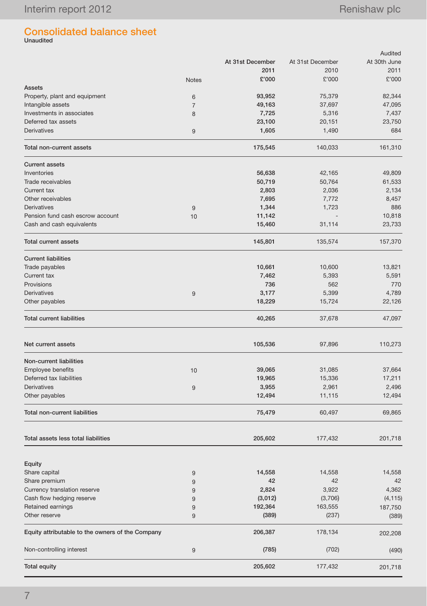# Consolidated balance sheet Unaudited

|                                                  |                |                  |                  | Audited      |
|--------------------------------------------------|----------------|------------------|------------------|--------------|
|                                                  |                | At 31st December | At 31st December | At 30th June |
|                                                  |                | 2011             | 2010             | 2011         |
|                                                  | <b>Notes</b>   | £'000            | £'000            | £'000        |
| <b>Assets</b>                                    |                |                  |                  |              |
| Property, plant and equipment                    | 6              | 93,952           | 75,379           | 82,344       |
| Intangible assets                                | $\overline{7}$ | 49,163           | 37,697           | 47,095       |
| Investments in associates                        | 8              | 7,725            | 5,316            | 7,437        |
| Deferred tax assets                              |                | 23,100           | 20,151           | 23,750       |
| <b>Derivatives</b>                               | 9              | 1,605            | 1,490            | 684          |
| Total non-current assets                         |                | 175,545          | 140,033          | 161,310      |
| <b>Current assets</b>                            |                |                  |                  |              |
| Inventories                                      |                | 56,638           | 42,165           | 49,809       |
| Trade receivables                                |                | 50,719           | 50,764           | 61,533       |
| Current tax                                      |                | 2,803            | 2,036            | 2,134        |
| Other receivables                                |                | 7,695            | 7,772            | 8,457        |
| <b>Derivatives</b>                               | 9              | 1,344            | 1,723            | 886          |
| Pension fund cash escrow account                 | 10             | 11,142           |                  | 10,818       |
| Cash and cash equivalents                        |                | 15,460           | 31,114           | 23,733       |
| <b>Total current assets</b>                      |                | 145,801          | 135,574          | 157,370      |
| <b>Current liabilities</b>                       |                |                  |                  |              |
| Trade payables                                   |                | 10,661           | 10,600           | 13,821       |
| Current tax                                      |                | 7,462            | 5,393            | 5,591        |
| Provisions                                       |                | 736              | 562              | 770          |
| Derivatives                                      | 9              | 3,177            | 5,399            | 4,789        |
| Other payables                                   |                | 18,229           | 15,724           | 22,126       |
| <b>Total current liabilities</b>                 |                | 40,265           | 37,678           | 47,097       |
| Net current assets                               |                | 105,536          | 97,896           | 110,273      |
| Non-current liabilities                          |                |                  |                  |              |
| Employee benefits                                | 10             | 39,065           | 31,085           | 37,664       |
| Deferred tax liabilities                         |                | 19,965           | 15,336           | 17,211       |
| <b>Derivatives</b>                               | 9              | 3,955            | 2,961            | 2,496        |
| Other payables                                   |                | 12,494           | 11,115           | 12,494       |
| <b>Total non-current liabilities</b>             |                | 75,479           | 60,497           | 69,865       |
| Total assets less total liabilities              |                | 205,602          | 177,432          | 201,718      |
|                                                  |                |                  |                  |              |
| Equity                                           |                |                  |                  |              |
| Share capital                                    | 9              | 14,558           | 14,558           | 14,558       |
| Share premium                                    | 9              | 42               | 42               | 42           |
| Currency translation reserve                     | 9              | 2,824            | 3,922            | 4,362        |
| Cash flow hedging reserve                        | 9              | (3,012)          | (3,706)          | (4, 115)     |
| Retained earnings                                | 9              | 192,364          | 163,555          | 187,750      |
| Other reserve                                    | 9              | (389)            | (237)            | (389)        |
| Equity attributable to the owners of the Company |                | 206,387          | 178,134          | 202,208      |
| Non-controlling interest                         | 9              | (785)            | (702)            | (490)        |
| <b>Total equity</b>                              |                | 205,602          | 177,432          | 201,718      |
|                                                  |                |                  |                  |              |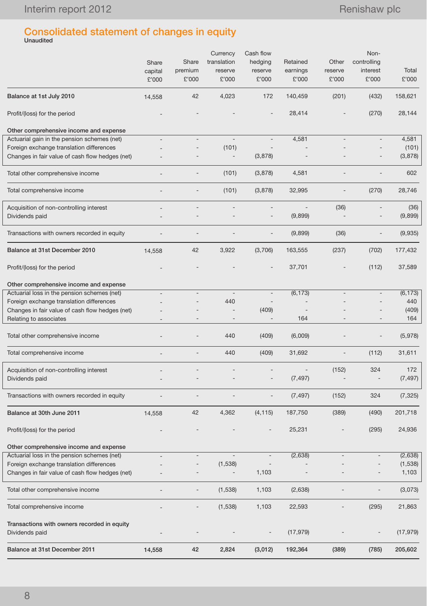# Consolidated statement of changes in equity Unaudited

|                                                 | Share<br>capital<br>£'000 | Share<br>premium<br>£'000 | Currency<br>translation<br>reserve<br>£'000 | Cash flow<br>hedging<br>reserve<br>£'000 | Retained<br>earnings<br>£'000 | Other<br>reserve<br>£'000 | Non-<br>controlling<br>interest<br>£'000 | Total<br>£'000 |
|-------------------------------------------------|---------------------------|---------------------------|---------------------------------------------|------------------------------------------|-------------------------------|---------------------------|------------------------------------------|----------------|
| Balance at 1st July 2010                        | 14,558                    | 42                        | 4,023                                       | 172                                      | 140,459                       | (201)                     | (432)                                    | 158,621        |
| Profit/(loss) for the period                    |                           |                           |                                             |                                          | 28,414                        |                           | (270)                                    | 28,144         |
| Other comprehensive income and expense          |                           |                           |                                             |                                          |                               |                           |                                          |                |
| Actuarial gain in the pension schemes (net)     |                           |                           |                                             |                                          | 4,581                         |                           |                                          | 4,581          |
| Foreign exchange translation differences        |                           |                           | (101)                                       |                                          |                               |                           |                                          | (101)          |
| Changes in fair value of cash flow hedges (net) |                           |                           | $\overline{\phantom{a}}$                    | (3,878)                                  |                               |                           |                                          | (3,878)        |
| Total other comprehensive income                | $\overline{\phantom{a}}$  |                           | (101)                                       | (3,878)                                  | 4,581                         |                           |                                          | 602            |
| Total comprehensive income                      |                           |                           | (101)                                       | (3,878)                                  | 32,995                        |                           | (270)                                    | 28,746         |
| Acquisition of non-controlling interest         |                           |                           |                                             | $\overline{a}$                           |                               | (36)                      |                                          | (36)           |
| Dividends paid                                  |                           |                           |                                             |                                          | (9,899)                       |                           |                                          | (9,899)        |
| Transactions with owners recorded in equity     |                           |                           |                                             |                                          | (9,899)                       | (36)                      | $\qquad \qquad -$                        | (9,935)        |
| Balance at 31st December 2010                   | 14,558                    | 42                        | 3,922                                       | (3,706)                                  | 163,555                       | (237)                     | (702)                                    | 177,432        |
| Profit/(loss) for the period                    |                           |                           |                                             |                                          | 37,701                        |                           | (112)                                    | 37,589         |
| Other comprehensive income and expense          |                           |                           |                                             |                                          |                               |                           |                                          |                |
| Actuarial loss in the pension schemes (net)     |                           |                           |                                             |                                          | (6, 173)                      |                           |                                          | (6, 173)       |
| Foreign exchange translation differences        |                           |                           | 440                                         | $\overline{\phantom{a}}$                 |                               |                           |                                          | 440            |
| Changes in fair value of cash flow hedges (net) |                           |                           |                                             | (409)                                    |                               |                           |                                          | (409)          |
| Relating to associates                          |                           |                           |                                             |                                          | 164                           |                           |                                          | 164            |
| Total other comprehensive income                |                           |                           | 440                                         | (409)                                    | (6,009)                       |                           |                                          | (5,978)        |
| Total comprehensive income                      |                           |                           | 440                                         | (409)                                    | 31,692                        | $\qquad \qquad -$         | (112)                                    | 31,611         |
| Acquisition of non-controlling interest         |                           |                           |                                             |                                          |                               | (152)                     | 324                                      | 172            |
| Dividends paid                                  |                           |                           |                                             | $\overline{\phantom{a}}$                 | (7, 497)                      |                           |                                          | (7, 497)       |
| Transactions with owners recorded in equity     |                           |                           |                                             |                                          | (7, 497)                      | (152)                     | 324                                      | (7, 325)       |
| Balance at 30th June 2011                       | 14,558                    | 42                        | 4,362                                       | (4, 115)                                 | 187,750                       | (389)                     | (490)                                    | 201,718        |
| Profit/(loss) for the period                    |                           |                           |                                             |                                          | 25,231                        |                           | (295)                                    | 24,936         |
| Other comprehensive income and expense          |                           |                           |                                             |                                          |                               |                           |                                          |                |
| Actuarial loss in the pension schemes (net)     |                           |                           | $\overline{\phantom{a}}$                    | $\overline{\phantom{a}}$                 | (2,638)                       |                           |                                          | (2,638)        |
| Foreign exchange translation differences        |                           |                           | (1,538)                                     |                                          |                               |                           |                                          | (1,538)        |
| Changes in fair value of cash flow hedges (net) |                           |                           |                                             | 1,103                                    |                               |                           |                                          | 1,103          |
| Total other comprehensive income                |                           |                           | (1,538)                                     | 1,103                                    | (2,638)                       |                           |                                          | (3,073)        |
| Total comprehensive income                      |                           |                           | (1,538)                                     | 1,103                                    | 22,593                        |                           | (295)                                    | 21,863         |
| Transactions with owners recorded in equity     |                           |                           |                                             |                                          |                               |                           |                                          |                |
| Dividends paid                                  |                           |                           |                                             | $\qquad \qquad -$                        | (17, 979)                     |                           |                                          | (17, 979)      |
| Balance at 31st December 2011                   | 14,558                    | 42                        | 2,824                                       | (3,012)                                  | 192,364                       | (389)                     | (785)                                    | 205,602        |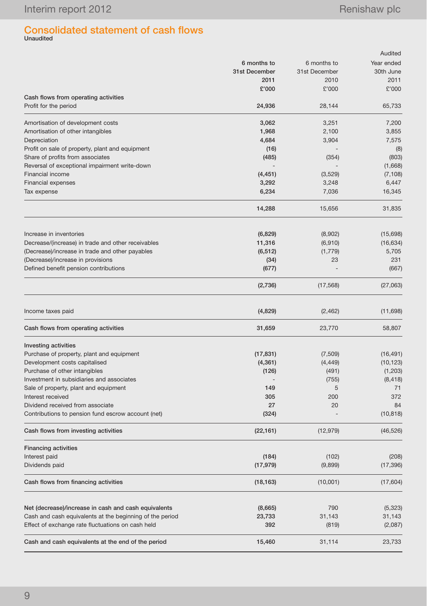# Consolidated statement of cash flows Unaudited

| Net (decrease)/increase in cash and cash equivalents          | (8,665)       | 790           | (5,323)    |
|---------------------------------------------------------------|---------------|---------------|------------|
|                                                               |               |               |            |
| Cash flows from financing activities                          | (18, 163)     | (10,001)      | (17,604)   |
| Dividends paid                                                | (17, 979)     | (9,899)       | (17, 396)  |
| Interest paid                                                 | (184)         | (102)         | (208)      |
| <b>Financing activities</b>                                   |               |               |            |
| Cash flows from investing activities                          | (22, 161)     | (12, 979)     | (46, 526)  |
| Contributions to pension fund escrow account (net)            | (324)         |               | (10, 818)  |
| Dividend received from associate                              | 27            | 20            | 84         |
| Interest received                                             | 305           | 200           | 372        |
| Sale of property, plant and equipment                         | 149           | 5             | 71         |
| Investment in subsidiaries and associates                     |               | (755)         | (8, 418)   |
| Purchase of other intangibles                                 | (126)         | (491)         | (1,203)    |
| Development costs capitalised                                 | (4, 361)      | (4, 449)      | (10, 123)  |
| Purchase of property, plant and equipment                     | (17, 831)     | (7,509)       | (16, 491)  |
| Investing activities                                          |               |               |            |
| Cash flows from operating activities                          | 31,659        | 23,770        | 58,807     |
| Income taxes paid                                             | (4, 829)      | (2, 462)      | (11, 698)  |
|                                                               | (2,736)       | (17, 568)     | (27,063)   |
| Defined benefit pension contributions                         | (677)         |               | (667)      |
| (Decrease)/increase in provisions                             | (34)          | 23            | 231        |
| (Decrease)/increase in trade and other payables               | (6, 512)      | (1,779)       | 5,705      |
| Decrease/(increase) in trade and other receivables            | 11,316        | (6, 910)      | (16, 634)  |
| Increase in inventories                                       | (6,829)       | (8,902)       | (15,698)   |
|                                                               | 14,288        | 15,656        | 31,835     |
| Tax expense                                                   | 6,234         | 7,036         | 16,345     |
| <b>Financial expenses</b>                                     | 3,292         | 3,248         | 6,447      |
| Financial income                                              | (4, 451)      | (3,529)       | (7, 108)   |
| Reversal of exceptional impairment write-down                 |               |               | (1,668)    |
| Share of profits from associates                              | (485)         | (354)         | (803)      |
| Profit on sale of property, plant and equipment               | (16)          |               | (8)        |
| Depreciation                                                  | 4,684         | 3,904         | 7,575      |
| Amortisation of other intangibles                             | 1,968         | 2,100         | 3,855      |
| Amortisation of development costs                             | 3,062         | 3,251         | 7,200      |
| Cash flows from operating activities<br>Profit for the period | 24,936        | 28,144        | 65,733     |
|                                                               | £'000         | £'000         | £'000      |
|                                                               | 2011          | 2010          | 2011       |
|                                                               | 31st December | 31st December | 30th June  |
|                                                               | 6 months to   | 6 months to   | Year ended |
|                                                               |               |               | Audited    |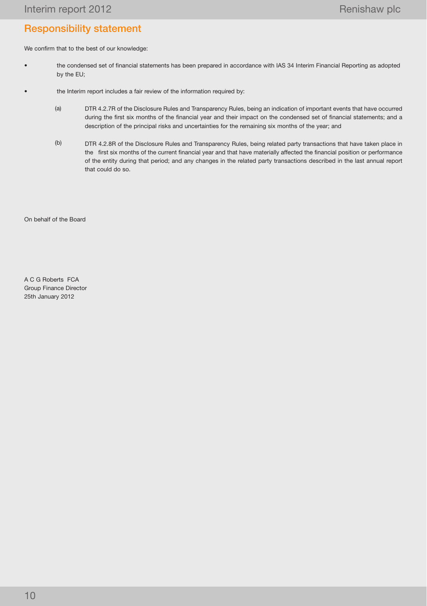# Responsibility statement

We confirm that to the best of our knowledge:

- the condensed set of financial statements has been prepared in accordance with IAS 34 Interim Financial Reporting as adopted by the EU;
- the Interim report includes a fair review of the information required by:
	- (a) DTR 4.2.7R of the Disclosure Rules and Transparency Rules, being an indication of important events that have occurred during the first six months of the financial year and their impact on the condensed set of financial statements; and a description of the principal risks and uncertainties for the remaining six months of the year; and
	- (b) DTR 4.2.8R of the Disclosure Rules and Transparency Rules, being related party transactions that have taken place in the first six months of the current financial year and that have materially affected the financial position or performance of the entity during that period; and any changes in the related party transactions described in the last annual report that could do so.

On behalf of the Board

A C G Roberts FCA Group Finance Director 25th January 2012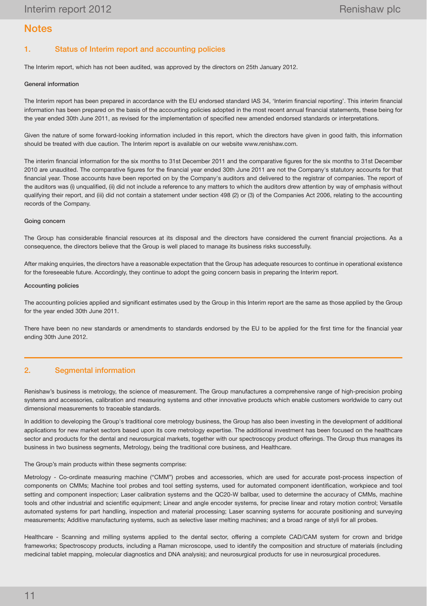# **Notes**

# 1. Status of Interim report and accounting policies

The Interim report, which has not been audited, was approved by the directors on 25th January 2012.

## General information

The Interim report has been prepared in accordance with the EU endorsed standard IAS 34, 'Interim financial reporting'. This interim financial information has been prepared on the basis of the accounting policies adopted in the most recent annual financial statements, these being for the year ended 30th June 2011, as revised for the implementation of specified new amended endorsed standards or interpretations.

Given the nature of some forward-looking information included in this report, which the directors have given in good faith, this information should be treated with due caution. The Interim report is available on our website www.renishaw.com.

The interim financial information for the six months to 31st December 2011 and the comparative figures for the six months to 31st December 2010 are unaudited. The comparative figures for the financial year ended 30th June 2011 are not the Company's statutory accounts for that financial year. Those accounts have been reported on by the Company's auditors and delivered to the registrar of companies. The report of the auditors was (i) unqualified, (ii) did not include a reference to any matters to which the auditors drew attention by way of emphasis without qualifying their report, and (iii) did not contain a statement under section 498 (2) or (3) of the Companies Act 2006, relating to the accounting records of the Company.

### Going concern

The Group has considerable financial resources at its disposal and the directors have considered the current financial projections. As a consequence, the directors believe that the Group is well placed to manage its business risks successfully.

After making enquiries, the directors have a reasonable expectation that the Group has adequate resources to continue in operational existence for the foreseeable future. Accordingly, they continue to adopt the going concern basis in preparing the Interim report.

### Accounting policies

The accounting policies applied and significant estimates used by the Group in this Interim report are the same as those applied by the Group for the year ended 30th June 2011.

There have been no new standards or amendments to standards endorsed by the EU to be applied for the first time for the financial year ending 30th June 2012.

## 2. Segmental information

Renishaw's business is metrology, the science of measurement. The Group manufactures a comprehensive range of high-precision probing systems and accessories, calibration and measuring systems and other innovative products which enable customers worldwide to carry out dimensional measurements to traceable standards.

In addition to developing the Group's traditional core metrology business, the Group has also been investing in the development of additional applications for new market sectors based upon its core metrology expertise. The additional investment has been focused on the healthcare sector and products for the dental and neurosurgical markets, together with our spectroscopy product offerings. The Group thus manages its business in two business segments, Metrology, being the traditional core business, and Healthcare.

### The Group's main products within these segments comprise:

Metrology - Co-ordinate measuring machine ("CMM") probes and accessories, which are used for accurate post-process inspection of components on CMMs; Machine tool probes and tool setting systems, used for automated component identification, workpiece and tool setting and component inspection; Laser calibration systems and the QC20-W ballbar, used to determine the accuracy of CMMs, machine tools and other industrial and scientific equipment; Linear and angle encoder systems, for precise linear and rotary motion control; Versatile automated systems for part handling, inspection and material processing; Laser scanning systems for accurate positioning and surveying measurements; Additive manufacturing systems, such as selective laser melting machines; and a broad range of styli for all probes.

Healthcare - Scanning and milling systems applied to the dental sector, offering a complete CAD/CAM system for crown and bridge frameworks; Spectroscopy products, including a Raman microscope, used to identify the composition and structure of materials (including medicinal tablet mapping, molecular diagnostics and DNA analysis); and neurosurgical products for use in neurosurgical procedures.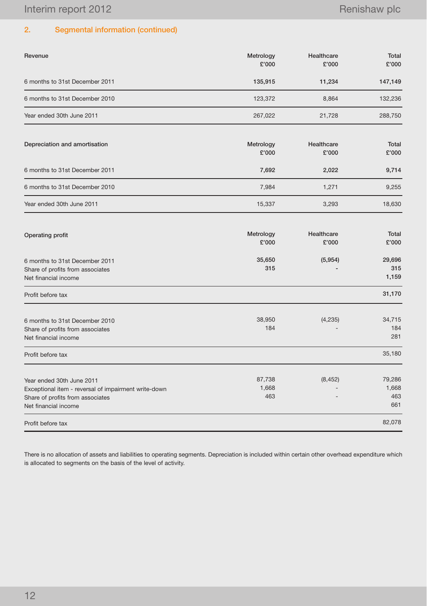# 2. Segmental information (continued)

| Revenue                                                                                                                                       | Metrology<br>£'000     | Healthcare<br>£'000 | Total<br>£'000                |
|-----------------------------------------------------------------------------------------------------------------------------------------------|------------------------|---------------------|-------------------------------|
| 6 months to 31st December 2011                                                                                                                | 135,915                | 11,234              | 147,149                       |
| 6 months to 31st December 2010                                                                                                                | 123,372                | 8,864               | 132,236                       |
| Year ended 30th June 2011                                                                                                                     | 267,022                | 21,728              | 288,750                       |
| Depreciation and amortisation                                                                                                                 | Metrology<br>£'000     | Healthcare<br>£'000 | Total<br>£'000                |
| 6 months to 31st December 2011                                                                                                                | 7,692                  | 2,022               | 9,714                         |
| 6 months to 31st December 2010                                                                                                                | 7,984                  | 1,271               | 9,255                         |
| Year ended 30th June 2011                                                                                                                     | 15,337                 | 3,293               | 18,630                        |
| Operating profit                                                                                                                              | Metrology<br>£'000     | Healthcare<br>£'000 | Total<br>£'000                |
| 6 months to 31st December 2011<br>Share of profits from associates<br>Net financial income                                                    | 35,650<br>315          | (5,954)             | 29,696<br>315<br>1,159        |
| Profit before tax                                                                                                                             |                        |                     | 31,170                        |
| 6 months to 31st December 2010<br>Share of profits from associates<br>Net financial income                                                    | 38,950<br>184          | (4, 235)            | 34,715<br>184<br>281          |
| Profit before tax                                                                                                                             |                        |                     | 35,180                        |
| Year ended 30th June 2011<br>Exceptional item - reversal of impairment write-down<br>Share of profits from associates<br>Net financial income | 87,738<br>1,668<br>463 | (8, 452)            | 79,286<br>1,668<br>463<br>661 |
| Profit before tax                                                                                                                             |                        |                     | 82,078                        |

There is no allocation of assets and liabilities to operating segments. Depreciation is included within certain other overhead expenditure which is allocated to segments on the basis of the level of activity.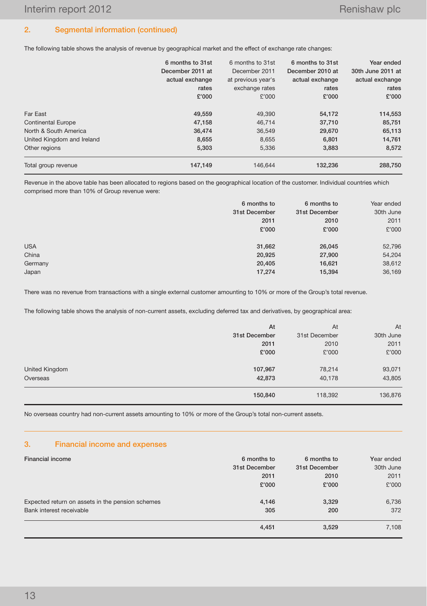# 2. Segmental information (continued)

The following table shows the analysis of revenue by geographical market and the effect of exchange rate changes:

|                            | 6 months to 31st<br>December 2011 at<br>actual exchange<br>rates<br>£'000 | 6 months to 31st<br>December 2011<br>at previous year's<br>exchange rates<br>£'000 | 6 months to 31st<br>December 2010 at<br>actual exchange<br>rates<br>£'000 | Year ended<br>30th June 2011 at<br>actual exchange<br>rates<br>£'000 |
|----------------------------|---------------------------------------------------------------------------|------------------------------------------------------------------------------------|---------------------------------------------------------------------------|----------------------------------------------------------------------|
| Far East                   | 49.559                                                                    | 49.390                                                                             | 54,172                                                                    | 114,553                                                              |
| <b>Continental Europe</b>  | 47,158                                                                    | 46,714                                                                             | 37,710                                                                    | 85,751                                                               |
| North & South America      | 36,474                                                                    | 36,549                                                                             | 29,670                                                                    | 65,113                                                               |
| United Kingdom and Ireland | 8,655                                                                     | 8.655                                                                              | 6.801                                                                     | 14,761                                                               |
| Other regions              | 5,303                                                                     | 5.336                                                                              | 3.883                                                                     | 8,572                                                                |
| Total group revenue        | 147,149                                                                   | 146.644                                                                            | 132,236                                                                   | 288,750                                                              |

Revenue in the above table has been allocated to regions based on the geographical location of the customer. Individual countries which comprised more than 10% of Group revenue were:

|            | 6 months to   | 6 months to   | Year ended |
|------------|---------------|---------------|------------|
|            | 31st December | 31st December | 30th June  |
|            | 2011          | 2010          | 2011       |
|            | £'000         | £'000         | £'000      |
|            |               |               |            |
| <b>USA</b> | 31,662        | 26,045        | 52,796     |
| China      | 20,925        | 27,900        | 54,204     |
| Germany    | 20,405        | 16,621        | 38,612     |
| Japan      | 17,274        | 15,394        | 36,169     |
|            |               |               |            |

There was no revenue from transactions with a single external customer amounting to 10% or more of the Group's total revenue.

The following table shows the analysis of non-current assets, excluding deferred tax and derivatives, by geographical area:

|                | At            | At            | At        |
|----------------|---------------|---------------|-----------|
|                | 31st December | 31st December | 30th June |
|                | 2011          | 2010          | 2011      |
|                | £'000         | £'000         | £'000     |
| United Kingdom | 107,967       | 78,214        | 93,071    |
| Overseas       | 42,873        | 40,178        | 43,805    |
|                | 150,840       | 118,392       | 136,876   |

No overseas country had non-current assets amounting to 10% or more of the Group's total non-current assets.

# 3. Financial income and expenses

| <b>Financial income</b>                          | 6 months to   | 6 months to   | Year ended |
|--------------------------------------------------|---------------|---------------|------------|
|                                                  | 31st December | 31st December | 30th June  |
|                                                  | 2011          | 2010          | 2011       |
|                                                  | £'000         | £'000         | £'000      |
| Expected return on assets in the pension schemes | 4,146         | 3,329         | 6,736      |
| Bank interest receivable                         | 305           | 200           | 372        |
|                                                  | 4,451         | 3,529         | 7,108      |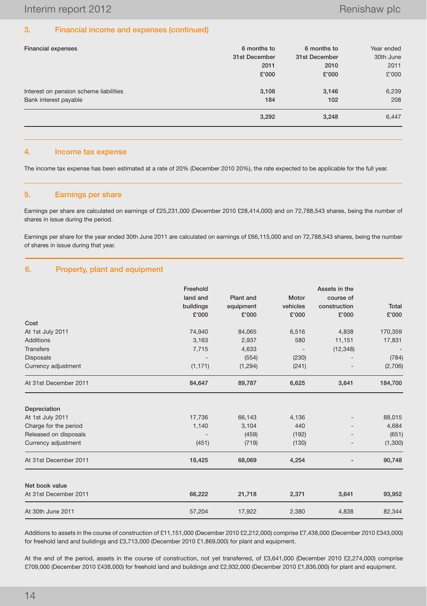## 3. Financial income and expenses (continued)

| <b>Financial expenses</b>              | 6 months to   | 6 months to   | Year ended |
|----------------------------------------|---------------|---------------|------------|
|                                        | 31st December | 31st December | 30th June  |
|                                        | 2011          | 2010          | 2011       |
|                                        | £'000         | £'000         | £'000      |
| Interest on pension scheme liabilities | 3,108         | 3,146         | 6,239      |
| Bank interest payable                  | 184           | 102           | 208        |
|                                        | 3,292         | 3,248         | 6,447      |

## 4. Income tax expense

The income tax expense has been estimated at a rate of 20% (December 2010 20%), the rate expected to be applicable for the full year.

## 5. Earnings per share

Earnings per share are calculated on earnings of £25,231,000 (December 2010 £28,414,000) and on 72,788,543 shares, being the number of shares in issue during the period.

Earnings per share for the year ended 30th June 2011 are calculated on earnings of £66,115,000 and on 72,788,543 shares, being the number of shares in issue during that year.

## 6. Property, plant and equipment

|                       | Freehold<br>land and<br>buildings<br>£'000 | <b>Plant</b> and<br>equipment<br>£'000 | Motor<br>vehicles<br>£'000 | Assets in the<br>course of<br>construction<br>£'000 | <b>Total</b><br>£'000 |
|-----------------------|--------------------------------------------|----------------------------------------|----------------------------|-----------------------------------------------------|-----------------------|
| Cost                  |                                            |                                        |                            |                                                     |                       |
| At 1st July 2011      | 74,940                                     | 84,065                                 | 6,516                      | 4,838                                               | 170,359               |
| <b>Additions</b>      | 3,163                                      | 2,937                                  | 580                        | 11,151                                              | 17,831                |
| <b>Transfers</b>      | 7,715                                      | 4,633                                  |                            | (12, 348)                                           |                       |
| <b>Disposals</b>      |                                            | (554)                                  | (230)                      |                                                     | (784)                 |
| Currency adjustment   | (1, 171)                                   | (1, 294)                               | (241)                      |                                                     | (2,706)               |
| At 31st December 2011 | 84,647                                     | 89,787                                 | 6,625                      | 3,641                                               | 184,700               |
| Depreciation          |                                            |                                        |                            |                                                     |                       |
| At 1st July 2011      | 17,736                                     | 66,143                                 | 4,136                      |                                                     | 88,015                |
| Charge for the period | 1,140                                      | 3,104                                  | 440                        |                                                     | 4,684                 |
| Released on disposals |                                            | (459)                                  | (192)                      |                                                     | (651)                 |
| Currency adjustment   | (451)                                      | (719)                                  | (130)                      |                                                     | (1,300)               |
| At 31st December 2011 | 18,425                                     | 68,069                                 | 4,254                      |                                                     | 90,748                |
| Net book value        |                                            |                                        |                            |                                                     |                       |
| At 31st December 2011 | 66,222                                     | 21,718                                 | 2,371                      | 3,641                                               | 93,952                |
| At 30th June 2011     | 57,204                                     | 17,922                                 | 2,380                      | 4,838                                               | 82,344                |

Additions to assets in the course of construction of £11,151,000 (December 2010 £2,212,000) comprise £7,438,000 (December 2010 £343,000) for freehold land and buildings and £3,713,000 (December 2010 £1,869,000) for plant and equipment.

At the end of the period, assets in the course of construction, not yet transferred, of £3,641,000 (December 2010 £2,274,000) comprise £709,000 (December 2010 £438,000) for freehold land and buildings and £2,932,000 (December 2010 £1,836,000) for plant and equipment.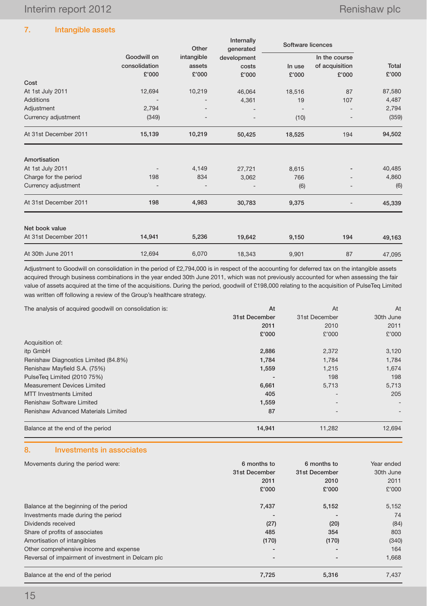# 7. Intangible assets

|                       |               | Other      | Internally<br>generated | Software licences |                |        |
|-----------------------|---------------|------------|-------------------------|-------------------|----------------|--------|
|                       | Goodwill on   | intangible | development             |                   | In the course  |        |
|                       | consolidation | assets     | costs                   | In use            | of acquisition | Total  |
|                       | £'000         | £'000      | £'000                   | £'000             | £'000          | £'000  |
| Cost                  |               |            |                         |                   |                |        |
| At 1st July 2011      | 12,694        | 10,219     | 46,064                  | 18,516            | 87             | 87,580 |
| Additions             |               |            | 4,361                   | 19                | 107            | 4,487  |
| Adjustment            | 2,794         |            |                         |                   |                | 2,794  |
| Currency adjustment   | (349)         |            |                         | (10)              |                | (359)  |
| At 31st December 2011 | 15,139        | 10,219     | 50,425                  | 18,525            | 194            | 94,502 |
| Amortisation          |               |            |                         |                   |                |        |
| At 1st July 2011      |               | 4,149      | 27,721                  | 8,615             |                | 40,485 |
| Charge for the period | 198           | 834        | 3,062                   | 766               |                | 4,860  |
| Currency adjustment   |               |            |                         | (6)               |                | (6)    |
| At 31st December 2011 | 198           | 4,983      | 30,783                  | 9,375             |                | 45,339 |
| Net book value        |               |            |                         |                   |                |        |
| At 31st December 2011 | 14,941        | 5,236      | 19,642                  | 9,150             | 194            | 49,163 |
| At 30th June 2011     | 12,694        | 6,070      | 18,343                  | 9,901             | 87             | 47,095 |

Adjustment to Goodwill on consolidation in the period of £2,794,000 is in respect of the accounting for deferred tax on the intangible assets acquired through business combinations in the year ended 30th June 2011, which was not previously accounted for when assessing the fair value of assets acquired at the time of the acquisitions. During the period, goodwill of £198,000 relating to the acquisition of PulseTeq Limited was written off following a review of the Group's healthcare strategy.

| The analysis of acquired goodwill on consolidation is: | At            | At            | At        |
|--------------------------------------------------------|---------------|---------------|-----------|
|                                                        | 31st December | 31st December | 30th June |
|                                                        | 2011          | 2010          | 2011      |
|                                                        | £'000         | £'000         | £'000     |
| Acquisition of:                                        |               |               |           |
| itp GmbH                                               | 2,886         | 2,372         | 3,120     |
| Renishaw Diagnostics Limited (84.8%)                   | 1,784         | 1,784         | 1,784     |
| Renishaw Mayfield S.A. (75%)                           | 1,559         | 1,215         | 1,674     |
| PulseTeg Limited (2010 75%)                            |               | 198           | 198       |
| Measurement Devices Limited                            | 6,661         | 5,713         | 5,713     |
| MTT Investments Limited                                | 405           |               | 205       |
| <b>Renishaw Software Limited</b>                       | 1,559         |               |           |
| <b>Renishaw Advanced Materials Limited</b>             | 87            |               |           |
| Balance at the end of the period                       | 14,941        | 11,282        | 12,694    |

# 8. Investments in associates

| Movements during the period were:                  | 6 months to<br>31st December<br>2011<br>£'000 | 6 months to<br>31st December<br>2010<br>£'000 | Year ended<br>30th June<br>2011<br>£'000 |
|----------------------------------------------------|-----------------------------------------------|-----------------------------------------------|------------------------------------------|
| Balance at the beginning of the period             | 7,437                                         | 5,152                                         | 5,152                                    |
| Investments made during the period                 |                                               |                                               | 74                                       |
| Dividends received                                 | (27)                                          | (20)                                          | (84)                                     |
| Share of profits of associates                     | 485                                           | 354                                           | 803                                      |
| Amortisation of intangibles                        | (170)                                         | (170)                                         | (340)                                    |
| Other comprehensive income and expense             |                                               |                                               | 164                                      |
| Reversal of impairment of investment in Delcam plc |                                               |                                               | 1,668                                    |
| Balance at the end of the period                   | 7,725                                         | 5,316                                         | 7,437                                    |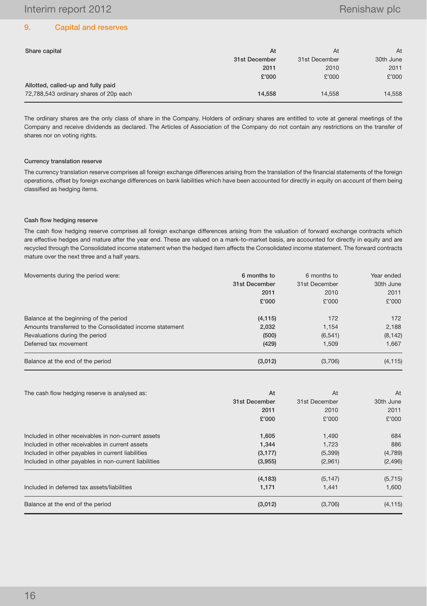## 9. Capital and reserves

| Share capital                          | At            | At            | At        |
|----------------------------------------|---------------|---------------|-----------|
|                                        | 31st December | 31st December | 30th June |
|                                        | 2011          | 2010          | 2011      |
|                                        | £'000         | £'000         | £'000     |
| Allotted, called-up and fully paid     |               |               |           |
| 72,788,543 ordinary shares of 20p each | 14.558        | 14.558        | 14,558    |

The ordinary shares are the only class of share in the Company. Holders of ordinary shares are entitled to vote at general meetings of the Company and receive dividends as declared. The Articles of Association of the Company do not contain any restrictions on the transfer of shares nor on voting rights.

### Currency translation reserve

The currency translation reserve comprises all foreign exchange differences arising from the translation of the financial statements of the foreign operations, offset by foreign exchange differences on bank liabilities which have been accounted for directly in equity on account of them being classified as hedging items.

### Cash flow hedging reserve

The cash flow hedging reserve comprises all foreign exchange differences arising from the valuation of forward exchange contracts which are effective hedges and mature after the year end. These are valued on a mark-to-market basis, are accounted for directly in equity and are recycled through the Consolidated income statement when the hedged item affects the Consolidated income statement. The forward contracts mature over the next three and a half years.

| Movements during the period were:                        | 6 months to   | 6 months to   | Year ended |
|----------------------------------------------------------|---------------|---------------|------------|
|                                                          | 31st December | 31st December | 30th June  |
|                                                          | 2011          | 2010          | 2011       |
|                                                          | £'000         | £'000         | £'000      |
| Balance at the beginning of the period                   | (4, 115)      | 172           | 172        |
| Amounts transferred to the Consolidated income statement | 2,032         | 1.154         | 2,188      |
| Revaluations during the period                           | (500)         | (6, 541)      | (8, 142)   |
| Deferred tax movement                                    | (429)         | 1.509         | 1.667      |
| Balance at the end of the period                         | (3,012)       | (3,706)       | (4, 115)   |

| The cash flow hedging reserve is analysed as:         | At            | At            | At        |
|-------------------------------------------------------|---------------|---------------|-----------|
|                                                       | 31st December | 31st December | 30th June |
|                                                       | 2011          | 2010          | 2011      |
|                                                       | £'000         | £'000         | £'000     |
| Included in other receivables in non-current assets   | 1,605         | 1,490         | 684       |
| Included in other receivables in current assets       | 1.344         | 1.723         | 886       |
| Included in other payables in current liabilities     | (3, 177)      | (5,399)       | (4,789)   |
| Included in other payables in non-current liabilities | (3,955)       | (2,961)       | (2, 496)  |
|                                                       | (4, 183)      | (5, 147)      | (5,715)   |
| Included in deferred tax assets/liabilities           | 1,171         | 1,441         | 1,600     |
| Balance at the end of the period                      | (3,012)       | (3,706)       | (4, 115)  |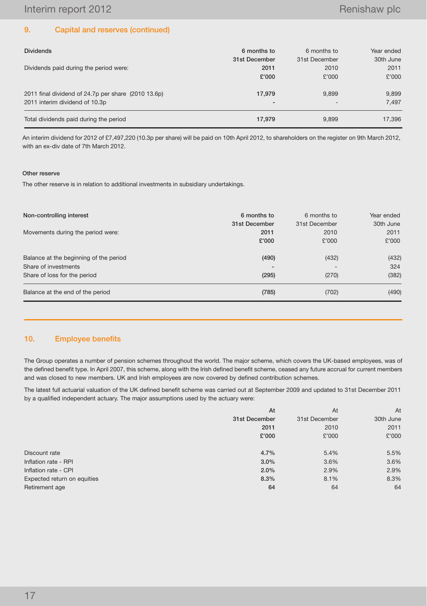# 9. Capital and reserves (continued)

| <b>Dividends</b>                                    | 6 months to              | 6 months to   | Year ended |
|-----------------------------------------------------|--------------------------|---------------|------------|
|                                                     | 31st December            | 31st December | 30th June  |
| Dividends paid during the period were:              | 2011                     | 2010          | 2011       |
|                                                     | £'000                    | £'000         | £'000      |
| 2011 final dividend of 24.7p per share (2010 13.6p) | 17,979                   | 9.899         | 9,899      |
| 2011 interim dividend of 10.3p                      | $\overline{\phantom{0}}$ |               | 7.497      |
| Total dividends paid during the period              | 17.979                   | 9.899         | 17,396     |

An interim dividend for 2012 of £7,497,220 (10.3p per share) will be paid on 10th April 2012, to shareholders on the register on 9th March 2012, with an ex-div date of 7th March 2012.

#### Other reserve

The other reserve is in relation to additional investments in subsidiary undertakings.

| Non-controlling interest               | 6 months to<br>31st December | 6 months to<br>31st December | Year ended<br>30th June |
|----------------------------------------|------------------------------|------------------------------|-------------------------|
| Movements during the period were:      | 2011                         | 2010                         | 2011                    |
|                                        | £'000                        | £'000                        | £'000                   |
| Balance at the beginning of the period | (490)                        | (432)                        | (432)                   |
| Share of investments                   |                              |                              | 324                     |
| Share of loss for the period           | (295)                        | (270)                        | (382)                   |
| Balance at the end of the period       | (785)                        | (702)                        | (490)                   |

## 10. Employee benefits

The Group operates a number of pension schemes throughout the world. The major scheme, which covers the UK-based employees, was of the defined benefit type. In April 2007, this scheme, along with the Irish defined benefit scheme, ceased any future accrual for current members and was closed to new members. UK and Irish employees are now covered by defined contribution schemes.

The latest full actuarial valuation of the UK defined benefit scheme was carried out at September 2009 and updated to 31st December 2011 by a qualified independent actuary. The major assumptions used by the actuary were:

|                             | At            | At            | At        |
|-----------------------------|---------------|---------------|-----------|
|                             | 31st December | 31st December | 30th June |
|                             | 2011          | 2010          | 2011      |
|                             | £'000         | £'000         | £'000     |
|                             |               |               |           |
| Discount rate               | 4.7%          | 5.4%          | 5.5%      |
| Inflation rate - RPI        | $3.0\%$       | 3.6%          | 3.6%      |
| Inflation rate - CPI        | 2.0%          | 2.9%          | 2.9%      |
| Expected return on equities | 8.3%          | 8.1%          | 8.3%      |
| Retirement age              | 64            | 64            | 64        |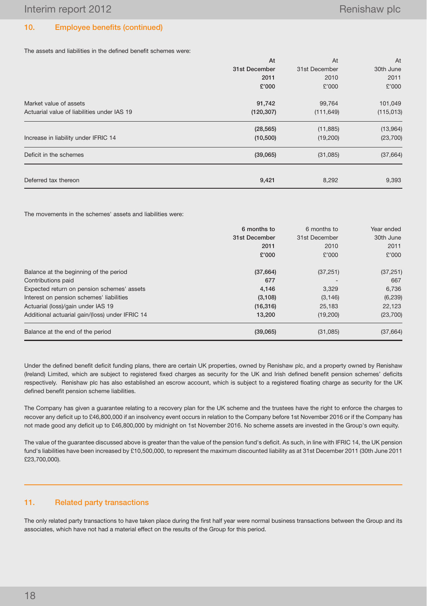# 10. Employee benefits (continued)

The assets and liabilities in the defined benefit schemes were:

|                                             | At            | At            | At         |
|---------------------------------------------|---------------|---------------|------------|
|                                             | 31st December | 31st December | 30th June  |
|                                             | 2011          | 2010          | 2011       |
|                                             | £'000         | £'000         | £'000      |
| Market value of assets                      | 91,742        | 99,764        | 101,049    |
| Actuarial value of liabilities under IAS 19 | (120, 307)    | (111, 649)    | (115, 013) |
|                                             | (28, 565)     | (11, 885)     | (13,964)   |
| Increase in liability under IFRIC 14        | (10, 500)     | (19,200)      | (23, 700)  |
| Deficit in the schemes                      | (39,065)      | (31,085)      | (37, 664)  |
| Deferred tax thereon                        | 9,421         | 8,292         | 9,393      |

The movements in the schemes' assets and liabilities were:

|                                                 | 6 months to   | 6 months to   | Year ended |
|-------------------------------------------------|---------------|---------------|------------|
|                                                 | 31st December | 31st December | 30th June  |
|                                                 | 2011          | 2010          | 2011       |
|                                                 | £'000         | £'000         | £'000      |
| Balance at the beginning of the period          | (37,664)      | (37, 251)     | (37, 251)  |
| Contributions paid                              | 677           |               | 667        |
| Expected return on pension schemes' assets      | 4,146         | 3,329         | 6,736      |
| Interest on pension schemes' liabilities        | (3, 108)      | (3, 146)      | (6, 239)   |
| Actuarial (loss)/gain under IAS 19              | (16, 316)     | 25,183        | 22,123     |
| Additional actuarial gain/(loss) under IFRIC 14 | 13,200        | (19,200)      | (23,700)   |
| Balance at the end of the period                | (39,065)      | (31,085)      | (37,664)   |

Under the defined benefit deficit funding plans, there are certain UK properties, owned by Renishaw plc, and a property owned by Renishaw (Ireland) Limited, which are subject to registered fixed charges as security for the UK and Irish defined benefit pension schemes' deficits respectively. Renishaw plc has also established an escrow account, which is subject to a registered floating charge as security for the UK defined benefit pension scheme liabilities.

The Company has given a guarantee relating to a recovery plan for the UK scheme and the trustees have the right to enforce the charges to recover any deficit up to £46,800,000 if an insolvency event occurs in relation to the Company before 1st November 2016 or if the Company has not made good any deficit up to £46,800,000 by midnight on 1st November 2016. No scheme assets are invested in the Group's own equity.

The value of the guarantee discussed above is greater than the value of the pension fund's deficit. As such, in line with IFRIC 14, the UK pension fund's liabilities have been increased by £10,500,000, to represent the maximum discounted liability as at 31st December 2011 (30th June 2011 £23,700,000).

## 11. Related party transactions

The only related party transactions to have taken place during the first half year were normal business transactions between the Group and its associates, which have not had a material effect on the results of the Group for this period.